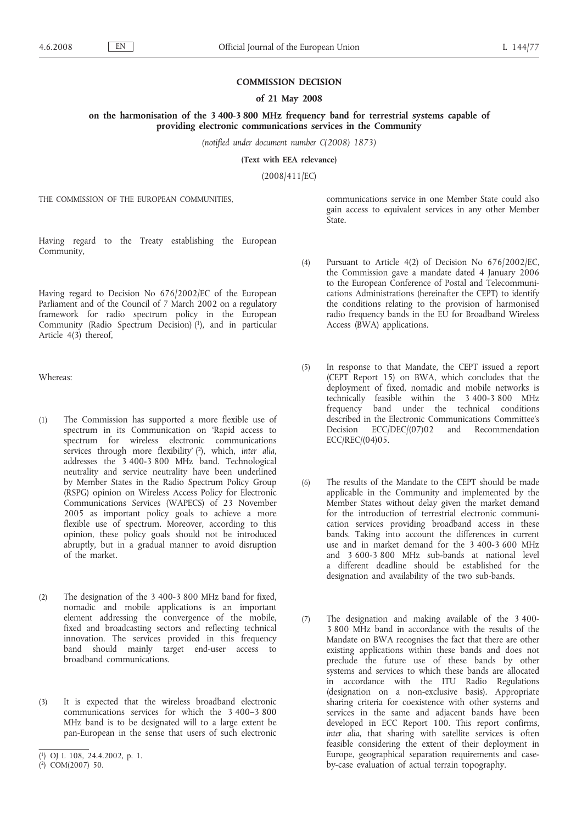#### **COMMISSION DECISION**

## **of 21 May 2008**

**on the harmonisation of the 3 400-3 800 MHz frequency band for terrestrial systems capable of providing electronic communications services in the Community**

*(notified under document number C(2008) 1873)*

**(Text with EEA relevance)**

(2008/411/EC)

THE COMMISSION OF THE EUROPEAN COMMUNITIES,

Having regard to the Treaty establishing the European Community,

Having regard to Decision No 676/2002/EC of the European Parliament and of the Council of 7 March 2002 on a regulatory framework for radio spectrum policy in the European Community (Radio Spectrum Decision) (1), and in particular Article 4(3) thereof,

Whereas:

- (1) The Commission has supported a more flexible use of spectrum in its Communication on 'Rapid access to spectrum for wireless electronic communications services through more flexibility' ( 2), which, *inter alia*, addresses the 3 400-3 800 MHz band. Technological neutrality and service neutrality have been underlined by Member States in the Radio Spectrum Policy Group (RSPG) opinion on Wireless Access Policy for Electronic Communications Services (WAPECS) of 23 November 2005 as important policy goals to achieve a more flexible use of spectrum. Moreover, according to this opinion, these policy goals should not be introduced abruptly, but in a gradual manner to avoid disruption of the market.
- (2) The designation of the 3 400-3 800 MHz band for fixed, nomadic and mobile applications is an important element addressing the convergence of the mobile, fixed and broadcasting sectors and reflecting technical innovation. The services provided in this frequency band should mainly target end-user access to broadband communications.
- (3) It is expected that the wireless broadband electronic communications services for which the 3 400–3 800 MHz band is to be designated will to a large extent be pan-European in the sense that users of such electronic
- communications service in one Member State could also gain access to equivalent services in any other Member State.
- (4) Pursuant to Article 4(2) of Decision No 676/2002/EC, the Commission gave a mandate dated 4 January 2006 to the European Conference of Postal and Telecommunications Administrations (hereinafter the CEPT) to identify the conditions relating to the provision of harmonised radio frequency bands in the EU for Broadband Wireless Access (BWA) applications.
- (5) In response to that Mandate, the CEPT issued a report (CEPT Report 15) on BWA, which concludes that the deployment of fixed, nomadic and mobile networks is technically feasible within the 3 400-3 800 MHz frequency band under the technical conditions described in the Electronic Communications Committee's Decision ECC/DEC/(07)02 and Recommendation ECC/REC/(04)05.
- (6) The results of the Mandate to the CEPT should be made applicable in the Community and implemented by the Member States without delay given the market demand for the introduction of terrestrial electronic communication services providing broadband access in these bands. Taking into account the differences in current use and in market demand for the 3 400-3 600 MHz and 3 600-3 800 MHz sub-bands at national level a different deadline should be established for the designation and availability of the two sub-bands.
- (7) The designation and making available of the 3 400- 3 800 MHz band in accordance with the results of the Mandate on BWA recognises the fact that there are other existing applications within these bands and does not preclude the future use of these bands by other systems and services to which these bands are allocated in accordance with the ITU Radio Regulations (designation on a non-exclusive basis). Appropriate sharing criteria for coexistence with other systems and services in the same and adjacent bands have been developed in ECC Report 100. This report confirms, *inter alia*, that sharing with satellite services is often feasible considering the extent of their deployment in Europe, geographical separation requirements and caseby-case evaluation of actual terrain topography.

<sup>(</sup> 1) OJ L 108, 24.4.2002, p. 1.

<sup>(</sup> 2) COM(2007) 50.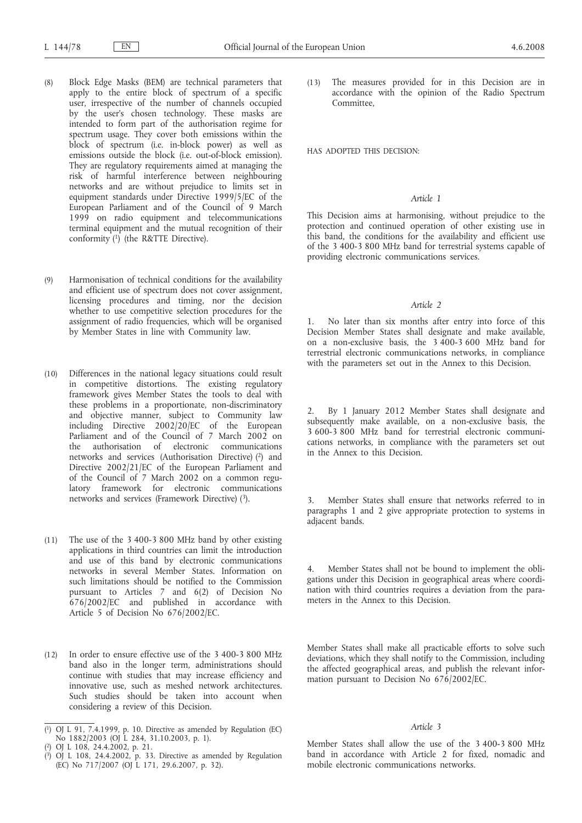- (8) Block Edge Masks (BEM) are technical parameters that apply to the entire block of spectrum of a specific user, irrespective of the number of channels occupied by the user's chosen technology. These masks are intended to form part of the authorisation regime for spectrum usage. They cover both emissions within the block of spectrum (i.e. in-block power) as well as emissions outside the block (i.e. out-of-block emission). They are regulatory requirements aimed at managing the risk of harmful interference between neighbouring networks and are without prejudice to limits set in equipment standards under Directive 1999/5/EC of the European Parliament and of the Council of 9 March 1999 on radio equipment and telecommunications terminal equipment and the mutual recognition of their conformity  $(1)$  (the R&TTE Directive).
- (9) Harmonisation of technical conditions for the availability and efficient use of spectrum does not cover assignment, licensing procedures and timing, nor the decision whether to use competitive selection procedures for the assignment of radio frequencies, which will be organised by Member States in line with Community law.
- (10) Differences in the national legacy situations could result in competitive distortions. The existing regulatory framework gives Member States the tools to deal with these problems in a proportionate, non-discriminatory and objective manner, subject to Community law including Directive 2002/20/EC of the European Parliament and of the Council of 7 March 2002 on the authorisation of electronic communications networks and services (Authorisation Directive) (2) and Directive 2002/21/EC of the European Parliament and of the Council of 7 March 2002 on a common regulatory framework for electronic communications networks and services (Framework Directive) (3).
- (11) The use of the 3 400-3 800 MHz band by other existing applications in third countries can limit the introduction and use of this band by electronic communications networks in several Member States. Information on such limitations should be notified to the Commission pursuant to Articles 7 and 6(2) of Decision No 676/2002/EC and published in accordance with Article 5 of Decision No 676/2002/EC.
- (12) In order to ensure effective use of the 3 400-3 800 MHz band also in the longer term, administrations should continue with studies that may increase efficiency and innovative use, such as meshed network architectures. Such studies should be taken into account when considering a review of this Decision.

- ( 2) OJ L 108, 24.4.2002, p. 21.
- $(3)$ 3) OJ L 108, 24.4.2002, p. 33. Directive as amended by Regulation (EC) No 717/2007 (OJ L 171, 29.6.2007, p. 32).

(13) The measures provided for in this Decision are in accordance with the opinion of the Radio Spectrum Committee,

HAS ADOPTED THIS DECISION:

# *Article 1*

This Decision aims at harmonising, without prejudice to the protection and continued operation of other existing use in this band, the conditions for the availability and efficient use of the 3 400-3 800 MHz band for terrestrial systems capable of providing electronic communications services.

# *Article 2*

1. No later than six months after entry into force of this Decision Member States shall designate and make available, on a non-exclusive basis, the 3 400-3 600 MHz band for terrestrial electronic communications networks, in compliance with the parameters set out in the Annex to this Decision.

2. By 1 January 2012 Member States shall designate and subsequently make available, on a non-exclusive basis, the 3 600-3 800 MHz band for terrestrial electronic communications networks, in compliance with the parameters set out in the Annex to this Decision.

3. Member States shall ensure that networks referred to in paragraphs 1 and 2 give appropriate protection to systems in adjacent bands.

Member States shall not be bound to implement the obligations under this Decision in geographical areas where coordination with third countries requires a deviation from the parameters in the Annex to this Decision.

Member States shall make all practicable efforts to solve such deviations, which they shall notify to the Commission, including the affected geographical areas, and publish the relevant information pursuant to Decision No 676/2002/EC.

## *Article 3*

Member States shall allow the use of the 3 400-3 800 MHz band in accordance with Article 2 for fixed, nomadic and mobile electronic communications networks.

<sup>(</sup> 1) OJ L 91, 7.4.1999, p. 10. Directive as amended by Regulation (EC) No 1882/2003 (OJ L 284, 31.10.2003, p. 1).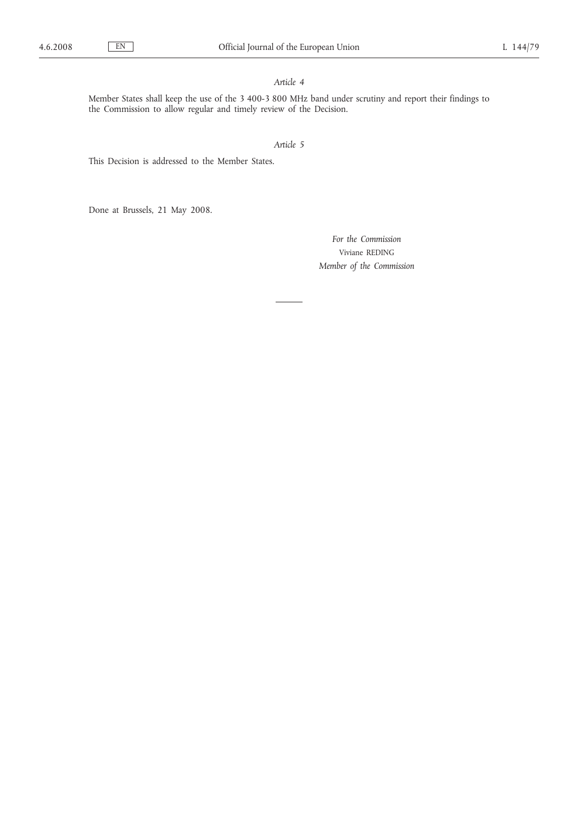# *Article 4*

Member States shall keep the use of the 3 400-3 800 MHz band under scrutiny and report their findings to the Commission to allow regular and timely review of the Decision.

*Article 5*

This Decision is addressed to the Member States.

Done at Brussels, 21 May 2008.

*For the Commission* Viviane REDING *Member of the Commission*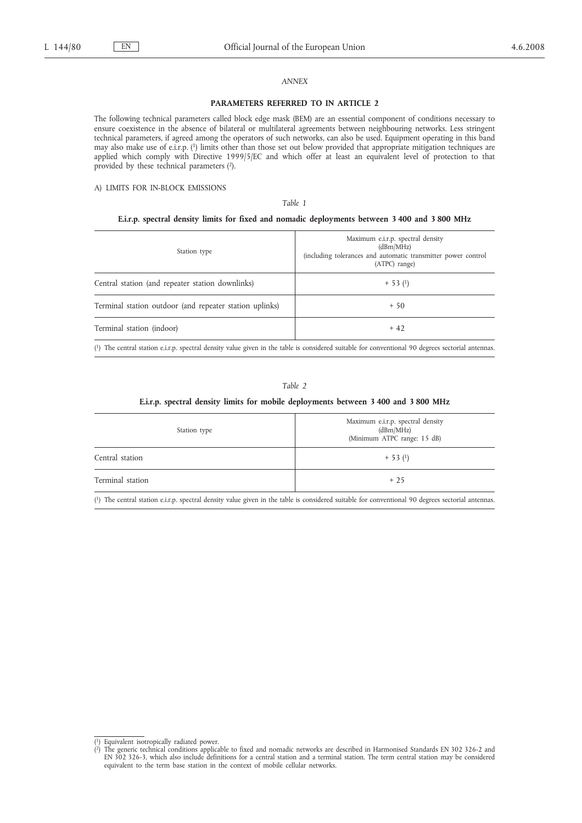## *ANNEX*

#### **PARAMETERS REFERRED TO IN ARTICLE 2**

The following technical parameters called block edge mask (BEM) are an essential component of conditions necessary to ensure coexistence in the absence of bilateral or multilateral agreements between neighbouring networks. Less stringent technical parameters, if agreed among the operators of such networks, can also be used. Equipment operating in this band may also make use of e.i.r.p. (1) limits other than those set out below provided that appropriate mitigation techniques are applied which comply with Directive 1999/5/EC and which offer at least an equivalent level of protection to that provided by these technical parameters (2).

#### A) LIMITS FOR IN-BLOCK EMISSIONS

## *Table 1*

#### **E.i.r.p. spectral density limits for fixed and nomadic deployments between 3 400 and 3 800 MHz**

| Station type                                            | Maximum e.i.r.p. spectral density<br>(dBm/MHz)<br>(including tolerances and automatic transmitter power control<br>(ATPC) range)                  |
|---------------------------------------------------------|---------------------------------------------------------------------------------------------------------------------------------------------------|
| Central station (and repeater station downlinks)        | $+ 53(1)$                                                                                                                                         |
| Terminal station outdoor (and repeater station uplinks) | $+50$                                                                                                                                             |
| Terminal station (indoor)                               | $+42$                                                                                                                                             |
|                                                         | (1) The central station e.i.r.p. spectral density value given in the table is considered suitable for conventional 90 degrees sectorial antennas. |

#### *Table 2*

#### **E.i.r.p. spectral density limits for mobile deployments between 3 400 and 3 800 MHz**

| Maximum e.i.r.p. spectral density<br>(dBm/MHz)<br>(Minimum ATPC range: 15 dB) |  |  |  |
|-------------------------------------------------------------------------------|--|--|--|
| $+ 53(1)$                                                                     |  |  |  |
| $+25$                                                                         |  |  |  |
|                                                                               |  |  |  |

( 1) The central station e.i.r.p. spectral density value given in the table is considered suitable for conventional 90 degrees sectorial antennas.

 $(1)$ 1) Equivalent isotropically radiated power.

 $\left( \frac{2}{3} \right)$ <sup>2</sup>) The generic technical conditions applicable to fixed and nomadic networks are described in Harmonised Standards EN 302 326-2 and EN 302 326-2 and EN 302 326-3, which also include definitions for a central station and equivalent to the term base station in the context of mobile cellular networks.